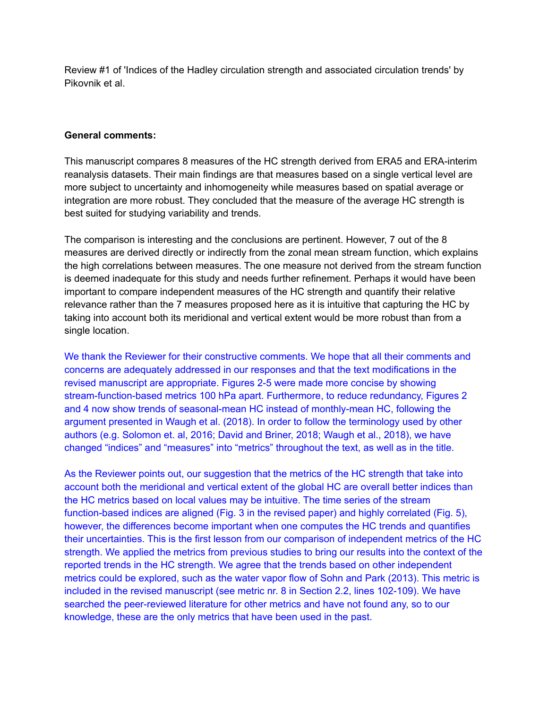Review #1 of 'Indices of the Hadley circulation strength and associated circulation trends' by Pikovnik et al.

## **General comments:**

This manuscript compares 8 measures of the HC strength derived from ERA5 and ERA-interim reanalysis datasets. Their main findings are that measures based on a single vertical level are more subject to uncertainty and inhomogeneity while measures based on spatial average or integration are more robust. They concluded that the measure of the average HC strength is best suited for studying variability and trends.

The comparison is interesting and the conclusions are pertinent. However, 7 out of the 8 measures are derived directly or indirectly from the zonal mean stream function, which explains the high correlations between measures. The one measure not derived from the stream function is deemed inadequate for this study and needs further refinement. Perhaps it would have been important to compare independent measures of the HC strength and quantify their relative relevance rather than the 7 measures proposed here as it is intuitive that capturing the HC by taking into account both its meridional and vertical extent would be more robust than from a single location.

We thank the Reviewer for their constructive comments. We hope that all their comments and concerns are adequately addressed in our responses and that the text modifications in the revised manuscript are appropriate. Figures 2-5 were made more concise by showing stream-function-based metrics 100 hPa apart. Furthermore, to reduce redundancy, Figures 2 and 4 now show trends of seasonal-mean HC instead of monthly-mean HC, following the argument presented in Waugh et al. (2018). In order to follow the terminology used by other authors (e.g. Solomon et. al, 2016; David and Briner, 2018; Waugh et al., 2018), we have changed "indices" and "measures" into "metrics" throughout the text, as well as in the title.

As the Reviewer points out, our suggestion that the metrics of the HC strength that take into account both the meridional and vertical extent of the global HC are overall better indices than the HC metrics based on local values may be intuitive. The time series of the stream function-based indices are aligned (Fig. 3 in the revised paper) and highly correlated (Fig. 5), however, the differences become important when one computes the HC trends and quantifies their uncertainties. This is the first lesson from our comparison of independent metrics of the HC strength. We applied the metrics from previous studies to bring our results into the context of the reported trends in the HC strength. We agree that the trends based on other independent metrics could be explored, such as the water vapor flow of Sohn and Park (2013). This metric is included in the revised manuscript (see metric nr. 8 in Section 2.2, lines 102-109). We have searched the peer-reviewed literature for other metrics and have not found any, so to our knowledge, these are the only metrics that have been used in the past.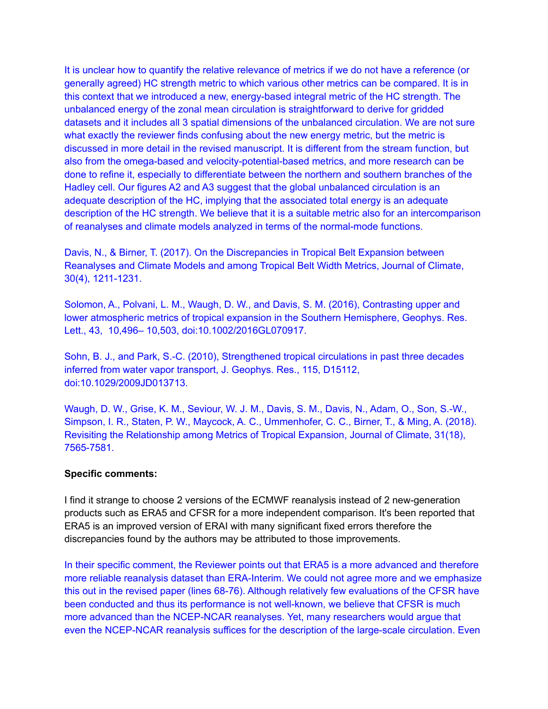It is unclear how to quantify the relative relevance of metrics if we do not have a reference (or generally agreed) HC strength metric to which various other metrics can be compared. It is in this context that we introduced a new, energy-based integral metric of the HC strength. The unbalanced energy of the zonal mean circulation is straightforward to derive for gridded datasets and it includes all 3 spatial dimensions of the unbalanced circulation. We are not sure what exactly the reviewer finds confusing about the new energy metric, but the metric is discussed in more detail in the revised manuscript. It is different from the stream function, but also from the omega-based and velocity-potential-based metrics, and more research can be done to refine it, especially to differentiate between the northern and southern branches of the Hadley cell. Our figures A2 and A3 suggest that the global unbalanced circulation is an adequate description of the HC, implying that the associated total energy is an adequate description of the HC strength. We believe that it is a suitable metric also for an intercomparison of reanalyses and climate models analyzed in terms of the normal-mode functions.

Davis, N., & Birner, T. (2017). On the Discrepancies in Tropical Belt Expansion between Reanalyses and Climate Models and among Tropical Belt Width Metrics, Journal of Climate, 30(4), 1211-1231.

Solomon, A., Polvani, L. M., Waugh, D. W., and Davis, S. M. (2016), Contrasting upper and lower atmospheric metrics of tropical expansion in the Southern Hemisphere, Geophys. Res. Lett., 43, 10,496– 10,503, doi:10.1002/2016GL070917.

Sohn, B. J., and Park, S.-C. (2010), Strengthened tropical circulations in past three decades inferred from water vapor transport, J. Geophys. Res., 115, D15112, doi:10.1029/2009JD013713.

Waugh, D. W., Grise, K. M., Seviour, W. J. M., Davis, S. M., Davis, N., Adam, O., Son, S.-W., Simpson, I. R., Staten, P. W., Maycock, A. C., Ummenhofer, C. C., Birner, T., & Ming, A. (2018). Revisiting the Relationship among Metrics of Tropical Expansion, Journal of Climate, 31(18), 7565-7581.

## **Specific comments:**

I find it strange to choose 2 versions of the ECMWF reanalysis instead of 2 new-generation products such as ERA5 and CFSR for a more independent comparison. It's been reported that ERA5 is an improved version of ERAI with many significant fixed errors therefore the discrepancies found by the authors may be attributed to those improvements.

In their specific comment, the Reviewer points out that ERA5 is a more advanced and therefore more reliable reanalysis dataset than ERA-Interim. We could not agree more and we emphasize this out in the revised paper (lines 68-76). Although relatively few evaluations of the CFSR have been conducted and thus its performance is not well-known, we believe that CFSR is much more advanced than the NCEP-NCAR reanalyses. Yet, many researchers would argue that even the NCEP-NCAR reanalysis suffices for the description of the large-scale circulation. Even